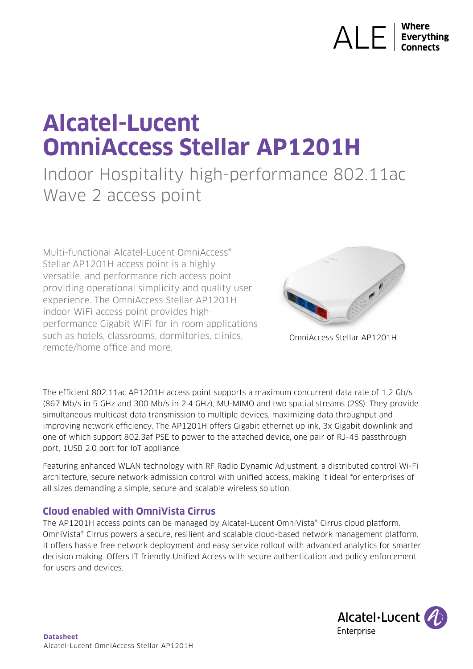# $\overline{\mathsf{ALE}}$  Everything

## **Alcatel-Lucent OmniAccess Stellar AP1201H**

### Indoor Hospitality high-performance 802.11ac Wave 2 access point

Multi-functional Alcatel-Lucent OmniAccess® Stellar AP1201H access point is a highly versatile, and performance rich access point providing operational simplicity and quality user experience. The OmniAccess Stellar AP1201H indoor WiFi access point provides highperformance Gigabit WiFi for in room applications such as hotels, classrooms, dormitories, clinics, remote/home office and more.



OmniAccess Stellar AP1201H

The efficient 802.11ac AP1201H access point supports a maximum concurrent data rate of 1.2 Gb/s (867 Mb/s in 5 GHz and 300 Mb/s in 2.4 GHz), MU-MIMO and two spatial streams (2SS). They provide simultaneous multicast data transmission to multiple devices, maximizing data throughput and improving network efficiency. The AP1201H offers Gigabit ethernet uplink, 3x Gigabit downlink and one of which support 802.3af PSE to power to the attached device, one pair of RJ-45 passthrough port, 1USB 2.0 port for IoT appliance.

Featuring enhanced WLAN technology with RF Radio Dynamic Adjustment, a distributed control Wi-Fi architecture, secure network admission control with unified access, making it ideal for enterprises of all sizes demanding a simple, secure and scalable wireless solution.

#### **Cloud enabled with OmniVista Cirrus**

The AP1201H access points can be managed by Alcatel-Lucent OmniVista® Cirrus cloud platform. OmniVista® Cirrus powers a secure, resilient and scalable cloud-based network management platform. It offers hassle free network deployment and easy service rollout with advanced analytics for smarter decision making. Offers IT friendly Unified Access with secure authentication and policy enforcement for users and devices.

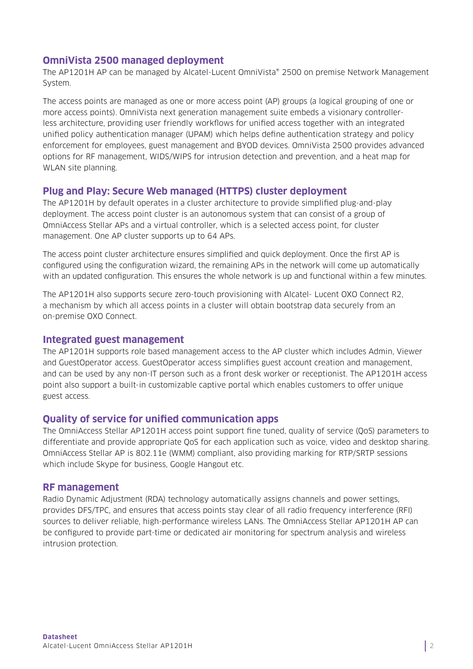#### **OmniVista 2500 managed deployment**

The AP1201H AP can be managed by Alcatel-Lucent OmniVista® 2500 on premise Network Management System.

The access points are managed as one or more access point (AP) groups (a logical grouping of one or more access points). OmniVista next generation management suite embeds a visionary controllerless architecture, providing user friendly workflows for unified access together with an integrated unified policy authentication manager (UPAM) which helps define authentication strategy and policy enforcement for employees, guest management and BYOD devices. OmniVista 2500 provides advanced options for RF management, WIDS/WIPS for intrusion detection and prevention, and a heat map for WLAN site planning.

#### **Plug and Play: Secure Web managed (HTTPS) cluster deployment**

The AP1201H by default operates in a cluster architecture to provide simplified plug-and-play deployment. The access point cluster is an autonomous system that can consist of a group of OmniAccess Stellar APs and a virtual controller, which is a selected access point, for cluster management. One AP cluster supports up to 64 APs.

The access point cluster architecture ensures simplified and quick deployment. Once the first AP is configured using the configuration wizard, the remaining APs in the network will come up automatically with an updated configuration. This ensures the whole network is up and functional within a few minutes.

The AP1201H also supports secure zero-touch provisioning with Alcatel- Lucent OXO Connect R2, a mechanism by which all access points in a cluster will obtain bootstrap data securely from an on-premise OXO Connect.

#### **Integrated guest management**

The AP1201H supports role based management access to the AP cluster which includes Admin, Viewer and GuestOperator access. GuestOperator access simplifies guest account creation and management, and can be used by any non-IT person such as a front desk worker or receptionist. The AP1201H access point also support a built-in customizable captive portal which enables customers to offer unique guest access.

#### **Quality of service for unified communication apps**

The OmniAccess Stellar AP1201H access point support fine tuned, quality of service (QoS) parameters to differentiate and provide appropriate QoS for each application such as voice, video and desktop sharing. OmniAccess Stellar AP is 802.11e (WMM) compliant, also providing marking for RTP/SRTP sessions which include Skype for business, Google Hangout etc.

#### **RF management**

Radio Dynamic Adjustment (RDA) technology automatically assigns channels and power settings, provides DFS/TPC, and ensures that access points stay clear of all radio frequency interference (RFI) sources to deliver reliable, high-performance wireless LANs. The OmniAccess Stellar AP1201H AP can be configured to provide part-time or dedicated air monitoring for spectrum analysis and wireless intrusion protection.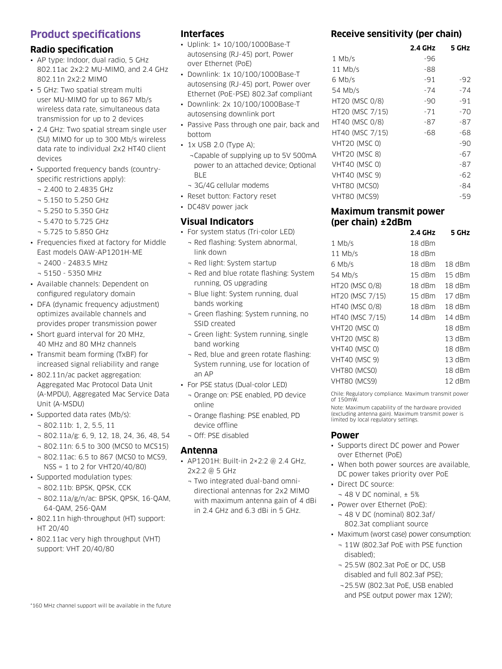#### **Product specifications**

#### **Radio specification**

- AP type: Indoor, dual radio, 5 GHz 802.11ac 2x2:2 MU-MIMO, and 2.4 GHz 802.11n 2x2:2 MIMO
- 5 GHz: Two spatial stream multi user MU-MIMO for up to 867 Mb/s wireless data rate, simultaneous data transmission for up to 2 devices
- 2.4 GHz: Two spatial stream single user (SU) MIMO for up to 300 Mb/s wireless data rate to individual 2x2 HT40 client devices
- Supported frequency bands (countryspecific restrictions apply):
	- ¬ 2.400 to 2.4835 GHz
	- ¬ 5.150 to 5.250 GHz
	- ¬ 5.250 to 5.350 GHz
	- ¬ 5.470 to 5.725 GHz
	- ¬ 5.725 to 5.850 GHz
- Frequencies fixed at factory for Middle East models OAW-AP1201H-ME
	- ¬ 2400 2483.5 MHz
	- ¬ 5150 5350 MHz
- Available channels: Dependent on configured regulatory domain
- DFA (dynamic frequency adjustment) optimizes available channels and provides proper transmission power
- Short guard interval for 20 MHz, 40 MHz and 80 MHz channels
- Transmit beam forming (TxBF) for increased signal reliability and range
- 802.11n/ac packet aggregation: Aggregated Mac Protocol Data Unit (A-MPDU), Aggregated Mac Service Data Unit (A-MSDU)
- Supported data rates (Mb/s):
	- ¬ 802.11b: 1, 2, 5.5, 11
	- ¬ 802.11a/g: 6, 9, 12, 18, 24, 36, 48, 54
	- ¬ 802.11n: 6.5 to 300 (MCS0 to MCS15)
	- ¬ 802.11ac: 6.5 to 867 (MCS0 to MCS9, NSS = 1 to 2 for VHT20/40/80)
- Supported modulation types:
	- ¬ 802.11b: BPSK, QPSK, CCK
	- ¬ 802.11a/g/n/ac: BPSK, QPSK, 16-QAM, 64-QAM, 256-QAM
- 802.11n high-throughput (HT) support: HT 20/40
- 802.11ac very high throughput (VHT) support: VHT 20/40/80

#### **Interfaces**

- Uplink: 1× 10/100/1000Base-T autosensing (RJ-45) port, Power over Ethernet (PoE)
- Downlink: 1x 10/100/1000Base-T autosensing (RJ-45) port, Power over Ethernet (PoE-PSE) 802.3af compliant
- Downlink: 2x 10/100/1000Base-T autosensing downlink port
- Passive Pass through one pair, back and bottom
- 1x USB 2.0 (Type A);
	- ¬Capable of supplying up to 5V 500mA power to an attached device; Optional BLE
	- ¬ 3G/4G cellular modems
- Reset button: Factory reset
- DC48V power jack

#### **Visual Indicators**

- For system status (Tri-color LED)
	- ¬ Red flashing: System abnormal, link down
	- ¬ Red light: System startup
	- ¬ Red and blue rotate flashing: System running, OS upgrading
	- ¬ Blue light: System running, dual bands working
	- ¬ Green flashing: System running, no SSID created
	- ¬ Green light: System running, single band working
	- ¬ Red, blue and green rotate flashing: System running, use for location of an AP
- For PSE status (Dual-color LED)
	- ¬ Orange on: PSE enabled, PD device online
	- ¬ Orange flashing: PSE enabled, PD device offline
	- ¬ Off: PSE disabled

#### **Antenna**

- AP1201H: Built-in 2×2:2 @ 2.4 GHz, 2x2:2 @ 5 GHz
	- ¬ Two integrated dual-band omnidirectional antennas for 2x2 MIMO with maximum antenna gain of 4 dBi in 2.4 GHz and 6.3 dBi in 5 GHz.

#### **Receive sensitivity (per chain)**

|                      | 2.4 GHz | 5 GHz |
|----------------------|---------|-------|
| $1$ Mb/s             | -96     |       |
| $11$ Mb/s            | -88     |       |
| 6 Mb/s               | $-91$   | $-92$ |
| 54 Mb/s              | $-74$   | $-74$ |
| HT20 (MSC 0/8)       | -90     | $-91$ |
| HT20 (MSC 7/15)      | $-71$   | -70   |
| HT40 (MSC 0/8)       | -87     | -87   |
| HT40 (MSC 7/15)      | -68     | -68   |
| <b>VHT20 (MSC 0)</b> |         | -90   |
| <b>VHT20 (MSC 8)</b> |         | $-67$ |
| <b>VHT40 (MSC 0)</b> |         | -87   |
| <b>VHT40 (MSC 9)</b> |         | -62   |
| VHT80 (MCS0)         |         | -84   |
| VHT80 (MCS9)         |         | -59   |

#### **Maximum transmit power (per chain) ±2dBm**

|                      | 2.4 GHz  | 5 GHz    |
|----------------------|----------|----------|
| $1$ Mb/s             | 18 dBm   |          |
| $11$ Mb/s            | 18 dBm   |          |
| 6 Mb/s               | 18 dBm   | 18 dBm   |
| 54 Mb/s              | 15 dBm   | 15 dBm   |
| HT20 (MSC 0/8)       | 18 dBm   | 18 dBm   |
| HT20 (MSC 7/15)      | $15$ dBm | 17 dBm   |
| HT40 (MSC 0/8)       | 18 dBm   | 18 dBm   |
| HT40 (MSC 7/15)      | 14 dBm   | 14 dBm   |
| <b>VHT20 (MSC 0)</b> |          | 18 dBm   |
| <b>VHT20 (MSC 8)</b> |          | $13$ dBm |
| <b>VHT40 (MSC 0)</b> |          | 18 dBm   |
| <b>VHT40 (MSC 9)</b> |          | 13 dBm   |
| VHT80 (MCSO)         |          | 18 dBm   |
| VHT80 (MCS9)         |          | $12$ dBm |
|                      |          |          |

Chile: Regulatory compliance. Maximum transmit power of 150mW.

Note: Maximum capability of the hardware provided (excluding antenna gain). Maximum transmit power is limited by local regulatory settings.

#### **Power**

- Supports direct DC power and Power over Ethernet (PoE)
- When both power sources are available, DC power takes priority over PoE
- Direct DC source:
	- $-48$  V DC nominal,  $\pm 5%$
- Power over Ethernet (PoE):
	- ¬ 48 V DC (nominal) 802.3af/ 802.3at compliant source
- Maximum (worst case) power consumption:
	- ¬ 11W (802.3af PoE with PSE function disabled);
	- ¬ 25.5W (802.3at PoE or DC, USB disabled and full 802.3af PSE); ¬25.5W (802.3at PoE, USB enabled
	- and PSE output power max 12W);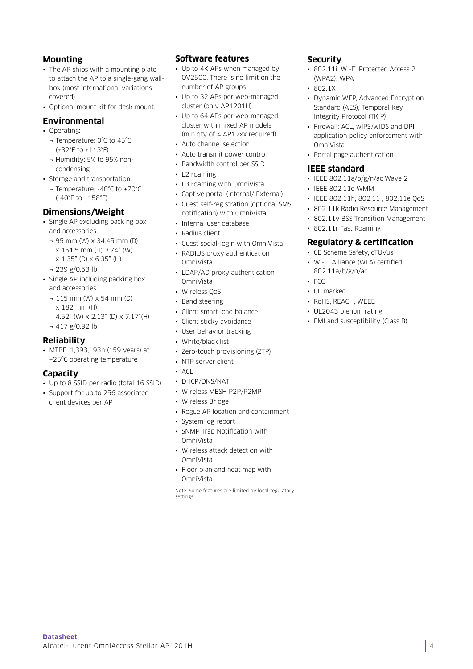#### **Mounting**

- The AP ships with a mounting plate to attach the AP to a single-gang wallbox (most international variations covered).
- Optional mount kit for desk mount.

#### **Environmental**

- Operating:
	- ¬ Temperature: 0°C to 45°C (+32°F to +113°F)
	- ¬ Humidity: 5% to 95% noncondensing
- Storage and transportation:
	- ¬ Temperature: -40°C to +70°C (-40°F to +158°F)

#### **Dimensions/Weight**

- Single AP excluding packing box and accessories:
	- ¬ 95 mm (W) x 34.45 mm (D) x 161.5 mm (H) 3.74" (W) x 1.35" (D) x 6.35" (H)
	- ¬ 239 g/0.53 lb
- Single AP including packing box and accessories:
	- ¬ 115 mm (W) x 54 mm (D) x 182 mm (H) 4.52" (W) x 2.13" (D) x 7.17"(H)
	- ¬ 417 g/0.92 lb

#### **Reliability**

• MTBF: 1,393,193h (159 years) at +25ºC operating temperature

#### **Capacity**

- Up to 8 SSID per radio (total 16 SSID)
- Support for up to 256 associated client devices per AP

#### **Software features**

• Up to 4K APs when managed by OV2500. There is no limit on the number of AP groups

- Up to 32 APs per web-managed cluster (only AP1201H)
- Up to 64 APs per web-managed cluster with mixed AP models (min qty of 4 AP12xx required)
- Auto channel selection
- Auto transmit power control
- Bandwidth control per SSID
- L2 roaming
- L3 roaming with OmniVista
- Captive portal (Internal/ External)
- Guest self-registration (optional SMS notification) with OmniVista
- Internal user database
- Radius client
- Guest social-login with OmniVista
- RADIUS proxy authentication OmniVista
- LDAP/AD proxy authentication OmniVista
- Wireless QoS
- Band steering
- Client smart load balance
- Client sticky avoidance
- User behavior tracking
- White/black list
- Zero-touch provisioning (ZTP)
- NTP server client
- ACL
- DHCP/DNS/NAT
- Wireless MESH P2P/P2MP
- Wireless Bridge
- Rogue AP location and containment
- System log report
- SNMP Trap Notification with OmniVista
- Wireless attack detection with OmniVista
- Floor plan and heat map with OmniVista

Note: Some features are limited by local regulatory settings

#### **Security**

- 802.11i, Wi-Fi Protected Access 2 (WPA2), WPA
- $-8021X$
- Dynamic WEP, Advanced Encryption Standard (AES), Temporal Key Integrity Protocol (TKIP)
- Firewall: ACL, wIPS/wIDS and DPI application policy enforcement with OmniVista
- Portal page authentication

#### **IEEE standard**

- IEEE 802.11a/b/g/n/ac Wave 2
- IEEE 802.11e WMM
- IEEE 802.11h, 802.11i, 802.11e QoS
- 802.11k Radio Resource Management
- 802.11v BSS Transition Management
- 802.11r Fast Roaming

#### **Regulatory & certification**

- CB Scheme Safety, cTUVus
- Wi-Fi Alliance (WFA) certified 802.11a/b/g/n/ac
- $-$  FCC
- CE marked
- RoHS, REACH, WEEE
- UL2043 plenum rating
- EMI and susceptibility (Class B)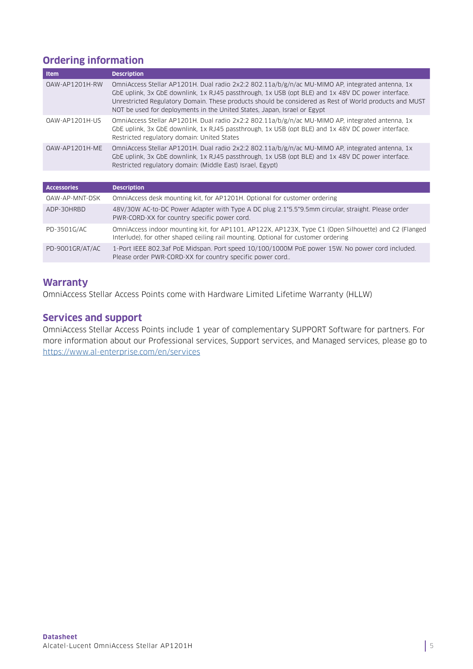#### **Ordering information**

| Item               | <b>Description</b>                                                                                                                                                                                                                                                                                                                                                                          |
|--------------------|---------------------------------------------------------------------------------------------------------------------------------------------------------------------------------------------------------------------------------------------------------------------------------------------------------------------------------------------------------------------------------------------|
| OAW-AP1201H-RW     | OmniAccess Stellar AP1201H. Dual radio 2x2:2 802.11a/b/g/n/ac MU-MIMO AP, integrated antenna, 1x<br>GbE uplink, 3x GbE downlink, 1x RJ45 passthrough, 1x USB (opt BLE) and 1x 48V DC power interface.<br>Unrestricted Regulatory Domain. These products should be considered as Rest of World products and MUST<br>NOT be used for deployments in the United States, Japan, Israel or Egypt |
| 0AW-AP1201H-US     | OmniAccess Stellar AP1201H. Dual radio 2x2:2 802.11a/b/g/n/ac MU-MIMO AP, integrated antenna, 1x<br>GbE uplink, 3x GbE downlink, 1x RJ45 passthrough, 1x USB (opt BLE) and 1x 48V DC power interface.<br>Restricted regulatory domain: United States                                                                                                                                        |
| OAW-AP1201H-ME     | OmniAccess Stellar AP1201H. Dual radio 2x2:2 802.11a/b/g/n/ac MU-MIMO AP, integrated antenna, 1x<br>GbE uplink, 3x GbE downlink, 1x RJ45 passthrough, 1x USB (opt BLE) and 1x 48V DC power interface.<br>Restricted regulatory domain: (Middle East) Israel, Egypt)                                                                                                                         |
|                    |                                                                                                                                                                                                                                                                                                                                                                                             |
| <b>Accessories</b> | <b>Description</b>                                                                                                                                                                                                                                                                                                                                                                          |
| OAW-AP-MNT-DSK     | OmniAccess desk mounting kit, for AP1201H. Optional for customer ordering                                                                                                                                                                                                                                                                                                                   |
| ADP-30HRBD         | 48V/30W AC-to-DC Power Adapter with Type A DC plug 2.1*5.5*9.5mm circular, straight. Please order<br>PWR-CORD-XX for country specific power cord.                                                                                                                                                                                                                                           |
| PD-3501G/AC        | OmniAccess indoor mounting kit, for AP1101, AP122X, AP123X, Type C1 (Open Silhouette) and C2 (Flanged<br>Interlude), for other shaped ceiling rail mounting. Optional for customer ordering                                                                                                                                                                                                 |
| PD-9001GR/AT/AC    | 1-Port IEEE 802.3af PoE Midspan. Port speed 10/100/1000M PoE power 15W. No power cord included.<br>Please order PWR-CORD-XX for country specific power cord                                                                                                                                                                                                                                 |

#### **Warranty**

OmniAccess Stellar Access Points come with Hardware Limited Lifetime Warranty (HLLW)

#### **Services and support**

OmniAccess Stellar Access Points include 1 year of complementary SUPPORT Software for partners. For more information about our Professional services, Support services, and Managed services, please go to <https://www.al-enterprise.com/en/services>